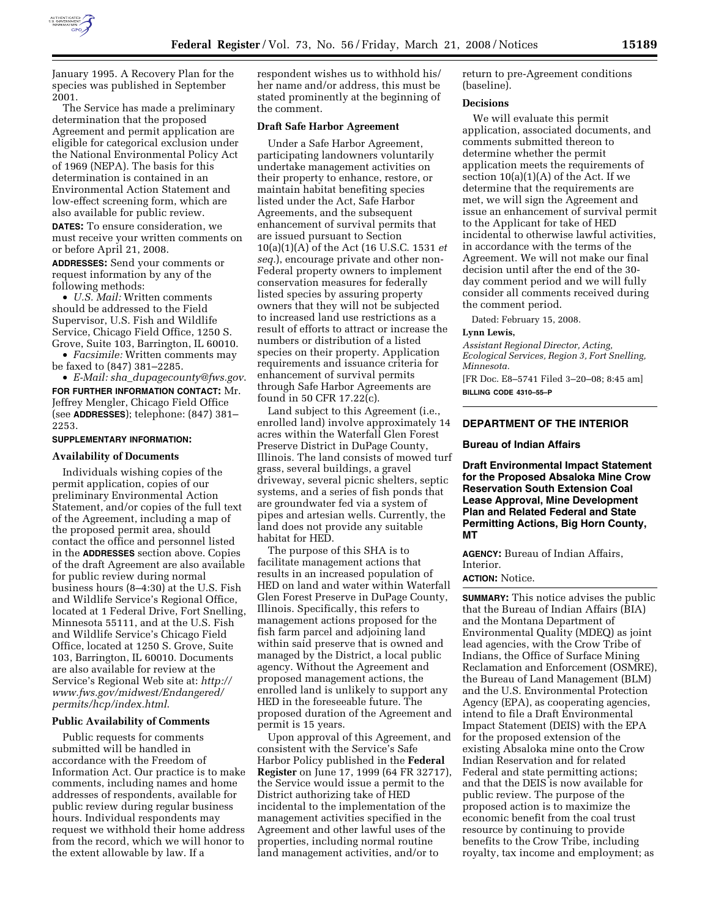

January 1995. A Recovery Plan for the species was published in September 2001.

The Service has made a preliminary determination that the proposed Agreement and permit application are eligible for categorical exclusion under the National Environmental Policy Act of 1969 (NEPA). The basis for this determination is contained in an Environmental Action Statement and low-effect screening form, which are also available for public review.

**DATES:** To ensure consideration, we must receive your written comments on or before April 21, 2008.

**ADDRESSES:** Send your comments or request information by any of the following methods:

• *U.S. Mail:* Written comments should be addressed to the Field Supervisor, U.S. Fish and Wildlife Service, Chicago Field Office, 1250 S. Grove, Suite 103, Barrington, IL 60010.

• *Facsimile:* Written comments may be faxed to (847) 381–2285.

• *E-Mail: sha*\_*dupagecounty@fws.gov*. **FOR FURTHER INFORMATION CONTACT:** Mr. Jeffrey Mengler, Chicago Field Office (see **ADDRESSES**); telephone: (847) 381– 2253.

#### **SUPPLEMENTARY INFORMATION:**

### **Availability of Documents**

Individuals wishing copies of the permit application, copies of our preliminary Environmental Action Statement, and/or copies of the full text of the Agreement, including a map of the proposed permit area, should contact the office and personnel listed in the **ADDRESSES** section above. Copies of the draft Agreement are also available for public review during normal business hours (8–4:30) at the U.S. Fish and Wildlife Service's Regional Office, located at 1 Federal Drive, Fort Snelling, Minnesota 55111, and at the U.S. Fish and Wildlife Service's Chicago Field Office, located at 1250 S. Grove, Suite 103, Barrington, IL 60010. Documents are also available for review at the Service's Regional Web site at: *http:// www.fws.gov/midwest/Endangered/ permits/hcp/index.html*.

### **Public Availability of Comments**

Public requests for comments submitted will be handled in accordance with the Freedom of Information Act. Our practice is to make comments, including names and home addresses of respondents, available for public review during regular business hours. Individual respondents may request we withhold their home address from the record, which we will honor to the extent allowable by law. If a

respondent wishes us to withhold his/ her name and/or address, this must be stated prominently at the beginning of the comment.

### **Draft Safe Harbor Agreement**

Under a Safe Harbor Agreement, participating landowners voluntarily undertake management activities on their property to enhance, restore, or maintain habitat benefiting species listed under the Act, Safe Harbor Agreements, and the subsequent enhancement of survival permits that are issued pursuant to Section 10(a)(1)(A) of the Act (16 U.S.C. 1531 *et seq.*), encourage private and other non-Federal property owners to implement conservation measures for federally listed species by assuring property owners that they will not be subjected to increased land use restrictions as a result of efforts to attract or increase the numbers or distribution of a listed species on their property. Application requirements and issuance criteria for enhancement of survival permits through Safe Harbor Agreements are found in 50 CFR 17.22(c).

Land subject to this Agreement (i.e., enrolled land) involve approximately 14 acres within the Waterfall Glen Forest Preserve District in DuPage County, Illinois. The land consists of mowed turf grass, several buildings, a gravel driveway, several picnic shelters, septic systems, and a series of fish ponds that are groundwater fed via a system of pipes and artesian wells. Currently, the land does not provide any suitable habitat for HED.

The purpose of this SHA is to facilitate management actions that results in an increased population of HED on land and water within Waterfall Glen Forest Preserve in DuPage County, Illinois. Specifically, this refers to management actions proposed for the fish farm parcel and adjoining land within said preserve that is owned and managed by the District, a local public agency. Without the Agreement and proposed management actions, the enrolled land is unlikely to support any HED in the foreseeable future. The proposed duration of the Agreement and permit is 15 years.

Upon approval of this Agreement, and consistent with the Service's Safe Harbor Policy published in the **Federal Register** on June 17, 1999 (64 FR 32717), the Service would issue a permit to the District authorizing take of HED incidental to the implementation of the management activities specified in the Agreement and other lawful uses of the properties, including normal routine land management activities, and/or to

return to pre-Agreement conditions (baseline).

### **Decisions**

We will evaluate this permit application, associated documents, and comments submitted thereon to determine whether the permit application meets the requirements of section  $10(a)(1)(A)$  of the Act. If we determine that the requirements are met, we will sign the Agreement and issue an enhancement of survival permit to the Applicant for take of HED incidental to otherwise lawful activities, in accordance with the terms of the Agreement. We will not make our final decision until after the end of the 30 day comment period and we will fully consider all comments received during the comment period.

Dated: February 15, 2008.

#### **Lynn Lewis,**

*Assistant Regional Director, Acting, Ecological Services, Region 3, Fort Snelling, Minnesota.* 

[FR Doc. E8–5741 Filed 3–20–08; 8:45 am] **BILLING CODE 4310–55–P** 

### **DEPARTMENT OF THE INTERIOR**

#### **Bureau of Indian Affairs**

**Draft Environmental Impact Statement for the Proposed Absaloka Mine Crow Reservation South Extension Coal Lease Approval, Mine Development Plan and Related Federal and State Permitting Actions, Big Horn County, MT** 

**AGENCY:** Bureau of Indian Affairs, Interior.

# **ACTION:** Notice.

**SUMMARY:** This notice advises the public that the Bureau of Indian Affairs (BIA) and the Montana Department of Environmental Quality (MDEQ) as joint lead agencies, with the Crow Tribe of Indians, the Office of Surface Mining Reclamation and Enforcement (OSMRE), the Bureau of Land Management (BLM) and the U.S. Environmental Protection Agency (EPA), as cooperating agencies, intend to file a Draft Environmental Impact Statement (DEIS) with the EPA for the proposed extension of the existing Absaloka mine onto the Crow Indian Reservation and for related Federal and state permitting actions; and that the DEIS is now available for public review. The purpose of the proposed action is to maximize the economic benefit from the coal trust resource by continuing to provide benefits to the Crow Tribe, including royalty, tax income and employment; as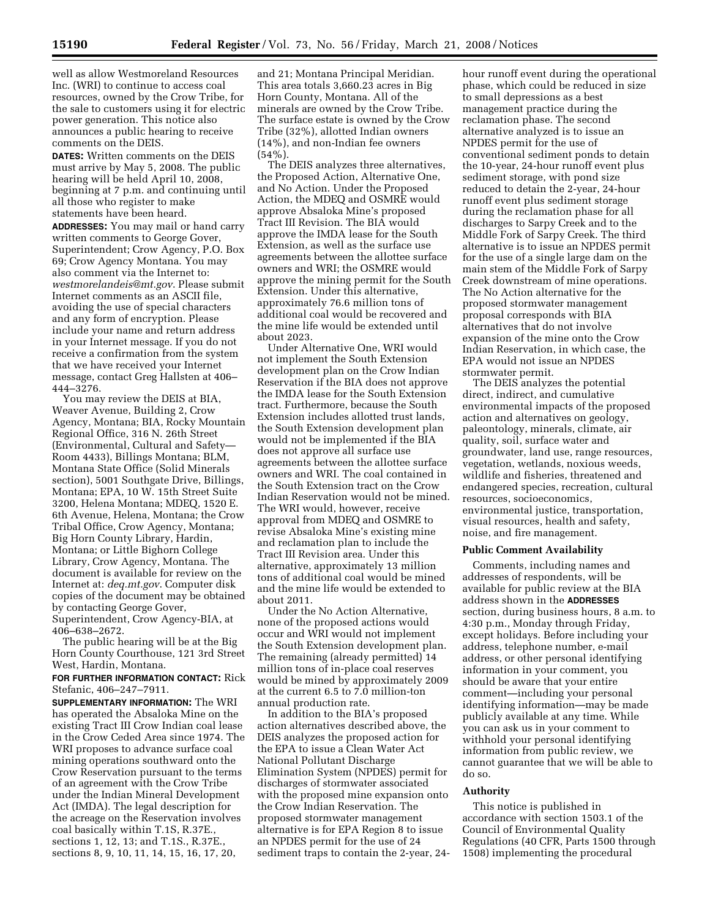well as allow Westmoreland Resources Inc. (WRI) to continue to access coal resources, owned by the Crow Tribe, for the sale to customers using it for electric power generation. This notice also announces a public hearing to receive comments on the DEIS.

**DATES:** Written comments on the DEIS must arrive by May 5, 2008. The public hearing will be held April 10, 2008, beginning at 7 p.m. and continuing until all those who register to make statements have been heard.

**ADDRESSES:** You may mail or hand carry written comments to George Gover, Superintendent; Crow Agency, P.O. Box 69; Crow Agency Montana. You may also comment via the Internet to: *westmorelandeis@mt.gov*. Please submit Internet comments as an ASCII file, avoiding the use of special characters and any form of encryption. Please include your name and return address in your Internet message. If you do not receive a confirmation from the system that we have received your Internet message, contact Greg Hallsten at 406– 444–3276.

You may review the DEIS at BIA, Weaver Avenue, Building 2, Crow Agency, Montana; BIA, Rocky Mountain Regional Office, 316 N. 26th Street (Environmental, Cultural and Safety— Room 4433), Billings Montana; BLM, Montana State Office (Solid Minerals section), 5001 Southgate Drive, Billings, Montana; EPA, 10 W. 15th Street Suite 3200, Helena Montana; MDEQ, 1520 E. 6th Avenue, Helena, Montana; the Crow Tribal Office, Crow Agency, Montana; Big Horn County Library, Hardin, Montana; or Little Bighorn College Library, Crow Agency, Montana. The document is available for review on the Internet at: *deq.mt.gov*. Computer disk copies of the document may be obtained by contacting George Gover, Superintendent, Crow Agency-BIA, at 406–638–2672.

The public hearing will be at the Big Horn County Courthouse, 121 3rd Street West, Hardin, Montana.

## **FOR FURTHER INFORMATION CONTACT:** Rick Stefanic, 406–247–7911.

**SUPPLEMENTARY INFORMATION:** The WRI has operated the Absaloka Mine on the existing Tract III Crow Indian coal lease in the Crow Ceded Area since 1974. The WRI proposes to advance surface coal mining operations southward onto the Crow Reservation pursuant to the terms of an agreement with the Crow Tribe under the Indian Mineral Development Act (IMDA). The legal description for the acreage on the Reservation involves coal basically within T.1S, R.37E., sections 1, 12, 13; and T.1S., R.37E., sections 8, 9, 10, 11, 14, 15, 16, 17, 20,

and 21; Montana Principal Meridian. This area totals 3,660.23 acres in Big Horn County, Montana. All of the minerals are owned by the Crow Tribe. The surface estate is owned by the Crow Tribe (32%), allotted Indian owners (14%), and non-Indian fee owners  $(54\%)$ .

The DEIS analyzes three alternatives, the Proposed Action, Alternative One, and No Action. Under the Proposed Action, the MDEQ and OSMRE would approve Absaloka Mine's proposed Tract III Revision. The BIA would approve the IMDA lease for the South Extension, as well as the surface use agreements between the allottee surface owners and WRI; the OSMRE would approve the mining permit for the South Extension. Under this alternative, approximately 76.6 million tons of additional coal would be recovered and the mine life would be extended until about 2023.

Under Alternative One, WRI would not implement the South Extension development plan on the Crow Indian Reservation if the BIA does not approve the IMDA lease for the South Extension tract. Furthermore, because the South Extension includes allotted trust lands, the South Extension development plan would not be implemented if the BIA does not approve all surface use agreements between the allottee surface owners and WRI. The coal contained in the South Extension tract on the Crow Indian Reservation would not be mined. The WRI would, however, receive approval from MDEQ and OSMRE to revise Absaloka Mine's existing mine and reclamation plan to include the Tract III Revision area. Under this alternative, approximately 13 million tons of additional coal would be mined and the mine life would be extended to about 2011.

Under the No Action Alternative, none of the proposed actions would occur and WRI would not implement the South Extension development plan. The remaining (already permitted) 14 million tons of in-place coal reserves would be mined by approximately 2009 at the current 6.5 to 7.0 million-ton annual production rate.

In addition to the BIA's proposed action alternatives described above, the DEIS analyzes the proposed action for the EPA to issue a Clean Water Act National Pollutant Discharge Elimination System (NPDES) permit for discharges of stormwater associated with the proposed mine expansion onto the Crow Indian Reservation. The proposed stormwater management alternative is for EPA Region 8 to issue an NPDES permit for the use of 24 sediment traps to contain the 2-year, 24-

hour runoff event during the operational phase, which could be reduced in size to small depressions as a best management practice during the reclamation phase. The second alternative analyzed is to issue an NPDES permit for the use of conventional sediment ponds to detain the 10-year, 24-hour runoff event plus sediment storage, with pond size reduced to detain the 2-year, 24-hour runoff event plus sediment storage during the reclamation phase for all discharges to Sarpy Creek and to the Middle Fork of Sarpy Creek. The third alternative is to issue an NPDES permit for the use of a single large dam on the main stem of the Middle Fork of Sarpy Creek downstream of mine operations. The No Action alternative for the proposed stormwater management proposal corresponds with BIA alternatives that do not involve expansion of the mine onto the Crow Indian Reservation, in which case, the EPA would not issue an NPDES stormwater permit.

The DEIS analyzes the potential direct, indirect, and cumulative environmental impacts of the proposed action and alternatives on geology, paleontology, minerals, climate, air quality, soil, surface water and groundwater, land use, range resources, vegetation, wetlands, noxious weeds, wildlife and fisheries, threatened and endangered species, recreation, cultural resources, socioeconomics, environmental justice, transportation, visual resources, health and safety, noise, and fire management.

### **Public Comment Availability**

Comments, including names and addresses of respondents, will be available for public review at the BIA address shown in the **ADDRESSES** section, during business hours, 8 a.m. to 4:30 p.m., Monday through Friday, except holidays. Before including your address, telephone number, e-mail address, or other personal identifying information in your comment, you should be aware that your entire comment—including your personal identifying information—may be made publicly available at any time. While you can ask us in your comment to withhold your personal identifying information from public review, we cannot guarantee that we will be able to do so.

#### **Authority**

This notice is published in accordance with section 1503.1 of the Council of Environmental Quality Regulations (40 CFR, Parts 1500 through 1508) implementing the procedural